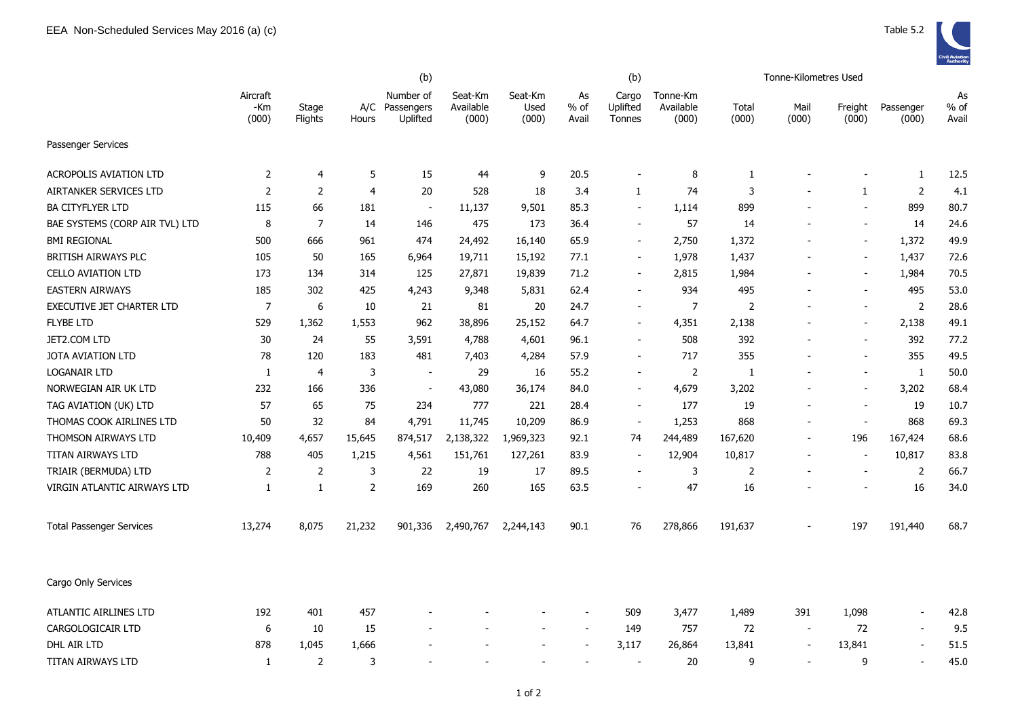|                                 |                          |                  |                | (b)                                     |                               |                          |                          | (b)                         |                                |                | Tonne-Kilometres Used    |                          |                          |                       |
|---------------------------------|--------------------------|------------------|----------------|-----------------------------------------|-------------------------------|--------------------------|--------------------------|-----------------------------|--------------------------------|----------------|--------------------------|--------------------------|--------------------------|-----------------------|
|                                 | Aircraft<br>-Km<br>(000) | Stage<br>Flights | Hours          | Number of<br>A/C Passengers<br>Uplifted | Seat-Km<br>Available<br>(000) | Seat-Km<br>Used<br>(000) | As<br>$%$ of<br>Avail    | Cargo<br>Uplifted<br>Tonnes | Tonne-Km<br>Available<br>(000) | Total<br>(000) | Mail<br>(000)            | Freight<br>(000)         | Passenger<br>(000)       | As<br>$%$ of<br>Avail |
| Passenger Services              |                          |                  |                |                                         |                               |                          |                          |                             |                                |                |                          |                          |                          |                       |
| <b>ACROPOLIS AVIATION LTD</b>   | 2                        | 4                | 5              | 15                                      | 44                            | 9                        | 20.5                     | $\blacksquare$              | 8                              | 1              |                          |                          | 1                        | 12.5                  |
| AIRTANKER SERVICES LTD          | $\overline{2}$           | 2                | $\overline{4}$ | 20                                      | 528                           | 18                       | 3.4                      | $\mathbf{1}$                | 74                             | 3              |                          | 1                        | $\overline{2}$           | 4.1                   |
| <b>BA CITYFLYER LTD</b>         | 115                      | 66               | 181            | $\overline{\phantom{a}}$                | 11,137                        | 9,501                    | 85.3                     | $\blacksquare$              | 1,114                          | 899            |                          | $\blacksquare$           | 899                      | 80.7                  |
| BAE SYSTEMS (CORP AIR TVL) LTD  | 8                        | $\overline{7}$   | 14             | 146                                     | 475                           | 173                      | 36.4                     | $\blacksquare$              | 57                             | 14             |                          | $\blacksquare$           | 14                       | 24.6                  |
| <b>BMI REGIONAL</b>             | 500                      | 666              | 961            | 474                                     | 24,492                        | 16,140                   | 65.9                     | $\sim$                      | 2,750                          | 1,372          |                          | $\blacksquare$           | 1,372                    | 49.9                  |
| <b>BRITISH AIRWAYS PLC</b>      | 105                      | 50               | 165            | 6,964                                   | 19,711                        | 15,192                   | 77.1                     | $\overline{\phantom{a}}$    | 1,978                          | 1,437          |                          | $\overline{\phantom{a}}$ | 1,437                    | 72.6                  |
| <b>CELLO AVIATION LTD</b>       | 173                      | 134              | 314            | 125                                     | 27,871                        | 19,839                   | 71.2                     | $\overline{\phantom{a}}$    | 2,815                          | 1,984          |                          | $\overline{\phantom{a}}$ | 1,984                    | 70.5                  |
| <b>EASTERN AIRWAYS</b>          | 185                      | 302              | 425            | 4,243                                   | 9,348                         | 5,831                    | 62.4                     | $\overline{\phantom{0}}$    | 934                            | 495            |                          | $\blacksquare$           | 495                      | 53.0                  |
| EXECUTIVE JET CHARTER LTD       | $\overline{7}$           | 6                | 10             | 21                                      | 81                            | 20                       | 24.7                     | $\blacksquare$              | $\overline{7}$                 | $\overline{2}$ |                          | $\overline{\phantom{a}}$ | $\overline{2}$           | 28.6                  |
| <b>FLYBE LTD</b>                | 529                      | 1,362            | 1,553          | 962                                     | 38,896                        | 25,152                   | 64.7                     | $\overline{\phantom{a}}$    | 4,351                          | 2,138          |                          | $\blacksquare$           | 2,138                    | 49.1                  |
| JET2.COM LTD                    | 30                       | 24               | 55             | 3,591                                   | 4,788                         | 4,601                    | 96.1                     | $\overline{\phantom{a}}$    | 508                            | 392            |                          | $\overline{\phantom{a}}$ | 392                      | 77.2                  |
| <b>JOTA AVIATION LTD</b>        | 78                       | 120              | 183            | 481                                     | 7,403                         | 4,284                    | 57.9                     | $\blacksquare$              | 717                            | 355            |                          | $\blacksquare$           | 355                      | 49.5                  |
| <b>LOGANAIR LTD</b>             | 1                        | $\overline{4}$   | 3              | $\overline{\phantom{a}}$                | 29                            | 16                       | 55.2                     | $\blacksquare$              | $\overline{2}$                 | 1              |                          | $\overline{\phantom{a}}$ | 1                        | 50.0                  |
| NORWEGIAN AIR UK LTD            | 232                      | 166              | 336            | $\sim$                                  | 43,080                        | 36,174                   | 84.0                     | $\blacksquare$              | 4,679                          | 3,202          |                          | $\blacksquare$           | 3,202                    | 68.4                  |
| TAG AVIATION (UK) LTD           | 57                       | 65               | 75             | 234                                     | 777                           | 221                      | 28.4                     | $\blacksquare$              | 177                            | 19             |                          | $\overline{\phantom{a}}$ | 19                       | 10.7                  |
| THOMAS COOK AIRLINES LTD        | 50                       | 32               | 84             | 4,791                                   | 11,745                        | 10,209                   | 86.9                     | $\overline{\phantom{a}}$    | 1,253                          | 868            |                          | $\overline{\phantom{a}}$ | 868                      | 69.3                  |
| THOMSON AIRWAYS LTD             | 10,409                   | 4,657            | 15,645         | 874,517                                 | 2,138,322                     | 1,969,323                | 92.1                     | 74                          | 244,489                        | 167,620        |                          | 196                      | 167,424                  | 68.6                  |
| TITAN AIRWAYS LTD               | 788                      | 405              | 1,215          | 4,561                                   | 151,761                       | 127,261                  | 83.9                     |                             | 12,904                         | 10,817         |                          |                          | 10,817                   | 83.8                  |
| TRIAIR (BERMUDA) LTD            | 2                        | 2                | 3              | 22                                      | 19                            | 17                       | 89.5                     |                             | 3                              | 2              |                          | $\sim$                   | $\overline{2}$           | 66.7                  |
| VIRGIN ATLANTIC AIRWAYS LTD     | 1                        | 1                | $\overline{2}$ | 169                                     | 260                           | 165                      | 63.5                     |                             | 47                             | 16             |                          |                          | 16                       | 34.0                  |
| <b>Total Passenger Services</b> | 13,274                   | 8,075            | 21,232         | 901,336                                 | 2,490,767                     | 2,244,143                | 90.1                     | 76                          | 278,866                        | 191,637        |                          | 197                      | 191,440                  | 68.7                  |
| Cargo Only Services             |                          |                  |                |                                         |                               |                          |                          |                             |                                |                |                          |                          |                          |                       |
| ATLANTIC AIRLINES LTD           | 192                      | 401              | 457            |                                         |                               |                          |                          | 509                         | 3,477                          | 1,489          | 391                      | 1,098                    | $\overline{\phantom{a}}$ | 42.8                  |
| CARGOLOGICAIR LTD               | 6                        | 10               | 15             |                                         |                               |                          | $\overline{\phantom{a}}$ | 149                         | 757                            | 72             | $\overline{\phantom{a}}$ | 72                       | $\overline{a}$           | 9.5                   |
| DHL AIR LTD                     | 878                      | 1,045            | 1,666          |                                         |                               |                          | $\overline{\phantom{a}}$ | 3,117                       | 26,864                         | 13,841         | $\overline{\phantom{a}}$ | 13,841                   | $\overline{a}$           | 51.5                  |
| TITAN AIRWAYS LTD               | $\mathbf{1}$             | 2                | 3              |                                         |                               |                          |                          | $\blacksquare$              | 20                             | 9              |                          | 9                        |                          | 45.0                  |